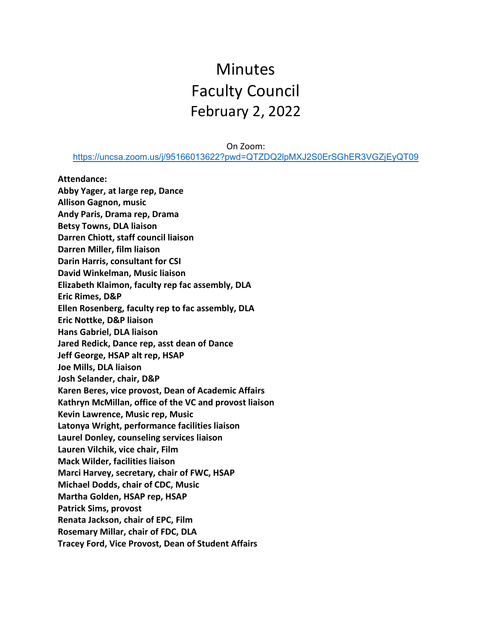# Minutes Faculty Council February 2, 2022

On Zoom:

<https://uncsa.zoom.us/j/95166013622?pwd=QTZDQ2lpMXJ2S0ErSGhER3VGZjEyQT09>

**Attendance: Abby Yager, at large rep, Dance Allison Gagnon, music Andy Paris, Drama rep, Drama Betsy Towns, DLA liaison Darren Chiott, staff council liaison Darren Miller, film liaison Darin Harris, consultant for CSI David Winkelman, Music liaison Elizabeth Klaimon, faculty rep fac assembly, DLA Eric Rimes, D&P Ellen Rosenberg, faculty rep to fac assembly, DLA Eric Nottke, D&P liaison Hans Gabriel, DLA liaison Jared Redick, Dance rep, asst dean of Dance Jeff George, HSAP alt rep, HSAP Joe Mills, DLA liaison Josh Selander, chair, D&P Karen Beres, vice provost, Dean of Academic Affairs Kathryn McMillan, office of the VC and provost liaison Kevin Lawrence, Music rep, Music Latonya Wright, performance facilities liaison Laurel Donley, counseling services liaison Lauren Vilchik, vice chair, Film Mack Wilder, facilities liaison Marci Harvey, secretary, chair of FWC, HSAP Michael Dodds, chair of CDC, Music Martha Golden, HSAP rep, HSAP Patrick Sims, provost Renata Jackson, chair of EPC, Film Rosemary Millar, chair of FDC, DLA Tracey Ford, Vice Provost, Dean of Student Affairs**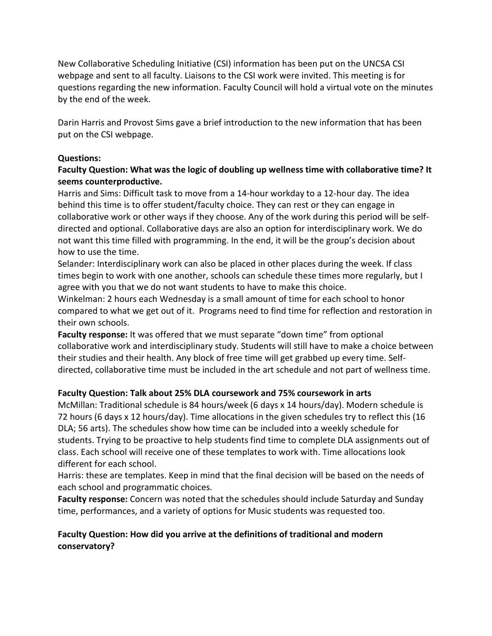New Collaborative Scheduling Initiative (CSI) information has been put on the UNCSA CSI webpage and sent to all faculty. Liaisons to the CSI work were invited. This meeting is for questions regarding the new information. Faculty Council will hold a virtual vote on the minutes by the end of the week.

Darin Harris and Provost Sims gave a brief introduction to the new information that has been put on the CSI webpage.

#### **Questions:**

#### **Faculty Question: What was the logic of doubling up wellness time with collaborative time? It seems counterproductive.**

Harris and Sims: Difficult task to move from a 14-hour workday to a 12-hour day. The idea behind this time is to offer student/faculty choice. They can rest or they can engage in collaborative work or other ways if they choose. Any of the work during this period will be selfdirected and optional. Collaborative days are also an option for interdisciplinary work. We do not want this time filled with programming. In the end, it will be the group's decision about how to use the time.

Selander: Interdisciplinary work can also be placed in other places during the week. If class times begin to work with one another, schools can schedule these times more regularly, but I agree with you that we do not want students to have to make this choice.

Winkelman: 2 hours each Wednesday is a small amount of time for each school to honor compared to what we get out of it. Programs need to find time for reflection and restoration in their own schools.

**Faculty response:** It was offered that we must separate "down time" from optional collaborative work and interdisciplinary study. Students will still have to make a choice between their studies and their health. Any block of free time will get grabbed up every time. Selfdirected, collaborative time must be included in the art schedule and not part of wellness time.

#### **Faculty Question: Talk about 25% DLA coursework and 75% coursework in arts**

McMillan: Traditional schedule is 84 hours/week (6 days x 14 hours/day). Modern schedule is 72 hours (6 days x 12 hours/day). Time allocations in the given schedules try to reflect this (16 DLA; 56 arts). The schedules show how time can be included into a weekly schedule for students. Trying to be proactive to help students find time to complete DLA assignments out of class. Each school will receive one of these templates to work with. Time allocations look different for each school.

Harris: these are templates. Keep in mind that the final decision will be based on the needs of each school and programmatic choices.

**Faculty response:** Concern was noted that the schedules should include Saturday and Sunday time, performances, and a variety of options for Music students was requested too.

# **Faculty Question: How did you arrive at the definitions of traditional and modern conservatory?**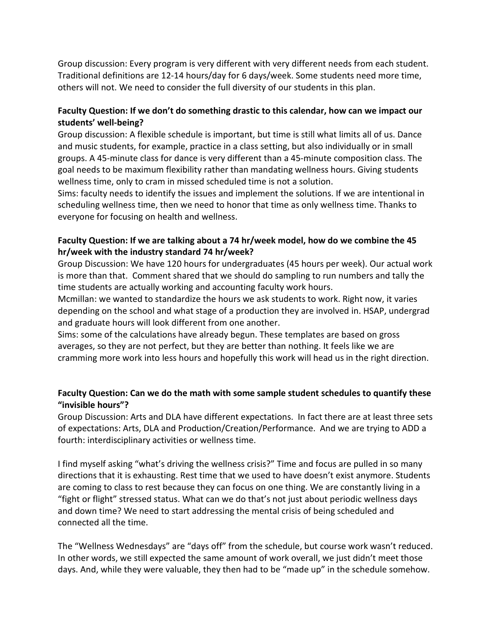Group discussion: Every program is very different with very different needs from each student. Traditional definitions are 12-14 hours/day for 6 days/week. Some students need more time, others will not. We need to consider the full diversity of our students in this plan.

# **Faculty Question: If we don't do something drastic to this calendar, how can we impact our students' well-being?**

Group discussion: A flexible schedule is important, but time is still what limits all of us. Dance and music students, for example, practice in a class setting, but also individually or in small groups. A 45-minute class for dance is very different than a 45-minute composition class. The goal needs to be maximum flexibility rather than mandating wellness hours. Giving students wellness time, only to cram in missed scheduled time is not a solution.

Sims: faculty needs to identify the issues and implement the solutions. If we are intentional in scheduling wellness time, then we need to honor that time as only wellness time. Thanks to everyone for focusing on health and wellness.

# **Faculty Question: If we are talking about a 74 hr/week model, how do we combine the 45 hr/week with the industry standard 74 hr/week?**

Group Discussion: We have 120 hours for undergraduates (45 hours per week). Our actual work is more than that. Comment shared that we should do sampling to run numbers and tally the time students are actually working and accounting faculty work hours.

Mcmillan: we wanted to standardize the hours we ask students to work. Right now, it varies depending on the school and what stage of a production they are involved in. HSAP, undergrad and graduate hours will look different from one another.

Sims: some of the calculations have already begun. These templates are based on gross averages, so they are not perfect, but they are better than nothing. It feels like we are cramming more work into less hours and hopefully this work will head us in the right direction.

# **Faculty Question: Can we do the math with some sample student schedules to quantify these "invisible hours"?**

Group Discussion: Arts and DLA have different expectations. In fact there are at least three sets of expectations: Arts, DLA and Production/Creation/Performance. And we are trying to ADD a fourth: interdisciplinary activities or wellness time.

I find myself asking "what's driving the wellness crisis?" Time and focus are pulled in so many directions that it is exhausting. Rest time that we used to have doesn't exist anymore. Students are coming to class to rest because they can focus on one thing. We are constantly living in a "fight or flight" stressed status. What can we do that's not just about periodic wellness days and down time? We need to start addressing the mental crisis of being scheduled and connected all the time.

The "Wellness Wednesdays" are "days off" from the schedule, but course work wasn't reduced. In other words, we still expected the same amount of work overall, we just didn't meet those days. And, while they were valuable, they then had to be "made up" in the schedule somehow.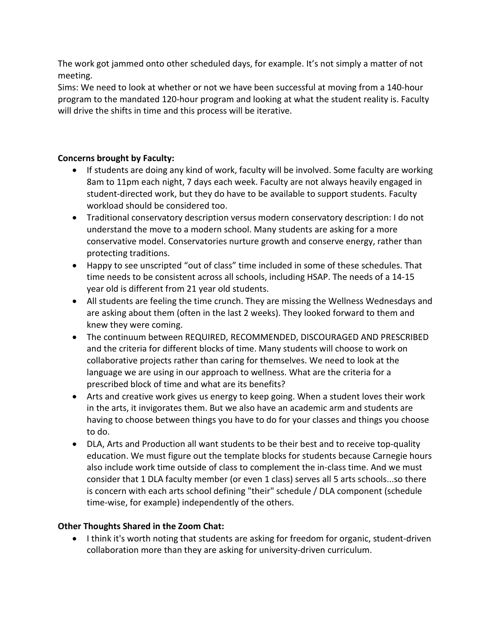The work got jammed onto other scheduled days, for example. It's not simply a matter of not meeting.

Sims: We need to look at whether or not we have been successful at moving from a 140-hour program to the mandated 120-hour program and looking at what the student reality is. Faculty will drive the shifts in time and this process will be iterative.

# **Concerns brought by Faculty:**

- If students are doing any kind of work, faculty will be involved. Some faculty are working 8am to 11pm each night, 7 days each week. Faculty are not always heavily engaged in student-directed work, but they do have to be available to support students. Faculty workload should be considered too.
- Traditional conservatory description versus modern conservatory description: I do not understand the move to a modern school. Many students are asking for a more conservative model. Conservatories nurture growth and conserve energy, rather than protecting traditions.
- Happy to see unscripted "out of class" time included in some of these schedules. That time needs to be consistent across all schools, including HSAP. The needs of a 14-15 year old is different from 21 year old students.
- All students are feeling the time crunch. They are missing the Wellness Wednesdays and are asking about them (often in the last 2 weeks). They looked forward to them and knew they were coming.
- The continuum between REQUIRED, RECOMMENDED, DISCOURAGED AND PRESCRIBED and the criteria for different blocks of time. Many students will choose to work on collaborative projects rather than caring for themselves. We need to look at the language we are using in our approach to wellness. What are the criteria for a prescribed block of time and what are its benefits?
- Arts and creative work gives us energy to keep going. When a student loves their work in the arts, it invigorates them. But we also have an academic arm and students are having to choose between things you have to do for your classes and things you choose to do.
- DLA, Arts and Production all want students to be their best and to receive top-quality education. We must figure out the template blocks for students because Carnegie hours also include work time outside of class to complement the in-class time. And we must consider that 1 DLA faculty member (or even 1 class) serves all 5 arts schools...so there is concern with each arts school defining "their" schedule / DLA component (schedule time-wise, for example) independently of the others.

# **Other Thoughts Shared in the Zoom Chat:**

• I think it's worth noting that students are asking for freedom for organic, student-driven collaboration more than they are asking for university-driven curriculum.